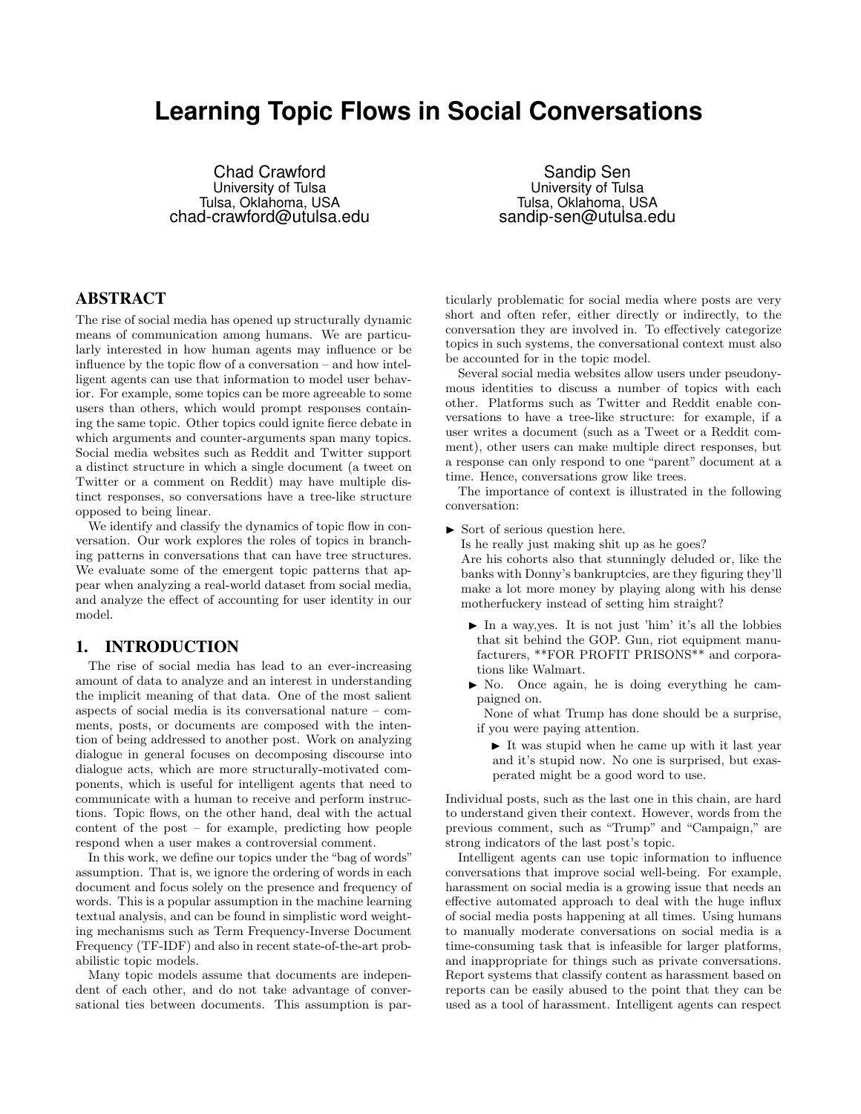# **Learning Topic Flows in Social Conversations**

Chad Crawford University of Tulsa Tulsa, Oklahoma, USA chad-crawford@utulsa.edu

Sandip Sen University of Tulsa Tulsa, Oklahoma, USA sandip-sen@utulsa.edu

# ABSTRACT

The rise of social media has opened up structurally dynamic means of communication among humans. We are particularly interested in how human agents may influence or be influence by the topic flow of a conversation – and how intelligent agents can use that information to model user behavior. For example, some topics can be more agreeable to some users than others, which would prompt responses containing the same topic. Other topics could ignite fierce debate in which arguments and counter-arguments span many topics. Social media websites such as Reddit and Twitter support a distinct structure in which a single document (a tweet on Twitter or a comment on Reddit) may have multiple distinct responses, so conversations have a tree-like structure opposed to being linear.

We identify and classify the dynamics of topic flow in conversation. Our work explores the roles of topics in branching patterns in conversations that can have tree structures. We evaluate some of the emergent topic patterns that appear when analyzing a real-world dataset from social media, and analyze the effect of accounting for user identity in our model.

## 1. INTRODUCTION

The rise of social media has lead to an ever-increasing amount of data to analyze and an interest in understanding the implicit meaning of that data. One of the most salient aspects of social media is its conversational nature – comments, posts, or documents are composed with the intention of being addressed to another post. Work on analyzing dialogue in general focuses on decomposing discourse into dialogue acts, which are more structurally-motivated components, which is useful for intelligent agents that need to communicate with a human to receive and perform instructions. Topic flows, on the other hand, deal with the actual content of the post – for example, predicting how people respond when a user makes a controversial comment.

In this work, we define our topics under the "bag of words" assumption. That is, we ignore the ordering of words in each document and focus solely on the presence and frequency of words. This is a popular assumption in the machine learning textual analysis, and can be found in simplistic word weighting mechanisms such as Term Frequency-Inverse Document Frequency (TF-IDF) and also in recent state-of-the-art probabilistic topic models.

Many topic models assume that documents are independent of each other, and do not take advantage of conversational ties between documents. This assumption is particularly problematic for social media where posts are very short and often refer, either directly or indirectly, to the conversation they are involved in. To effectively categorize topics in such systems, the conversational context must also be accounted for in the topic model.

Several social media websites allow users under pseudonymous identities to discuss a number of topics with each other. Platforms such as Twitter and Reddit enable conversations to have a tree-like structure: for example, if a user writes a document (such as a Tweet or a Reddit comment), other users can make multiple direct responses, but a response can only respond to one "parent" document at a time. Hence, conversations grow like trees.

The importance of context is illustrated in the following conversation:

 $\triangleright$  Sort of serious question here.

Is he really just making shit up as he goes?

Are his cohorts also that stunningly deluded or, like the banks with Donny's bankruptcies, are they figuring they'll make a lot more money by playing along with his dense motherfuckery instead of setting him straight?

- $\blacktriangleright$  In a way, yes. It is not just 'him' it's all the lobbies that sit behind the GOP. Gun, riot equipment manufacturers, \*\*FOR PROFIT PRISONS\*\* and corporations like Walmart.
- $\blacktriangleright$  No. Once again, he is doing everything he campaigned on.
- None of what Trump has done should be a surprise, if you were paying attention.
	- $\blacktriangleright$  It was stupid when he came up with it last year and it's stupid now. No one is surprised, but exasperated might be a good word to use.

Individual posts, such as the last one in this chain, are hard to understand given their context. However, words from the previous comment, such as "Trump" and "Campaign," are strong indicators of the last post's topic.

Intelligent agents can use topic information to influence conversations that improve social well-being. For example, harassment on social media is a growing issue that needs an effective automated approach to deal with the huge influx of social media posts happening at all times. Using humans to manually moderate conversations on social media is a time-consuming task that is infeasible for larger platforms, and inappropriate for things such as private conversations. Report systems that classify content as harassment based on reports can be easily abused to the point that they can be used as a tool of harassment. Intelligent agents can respect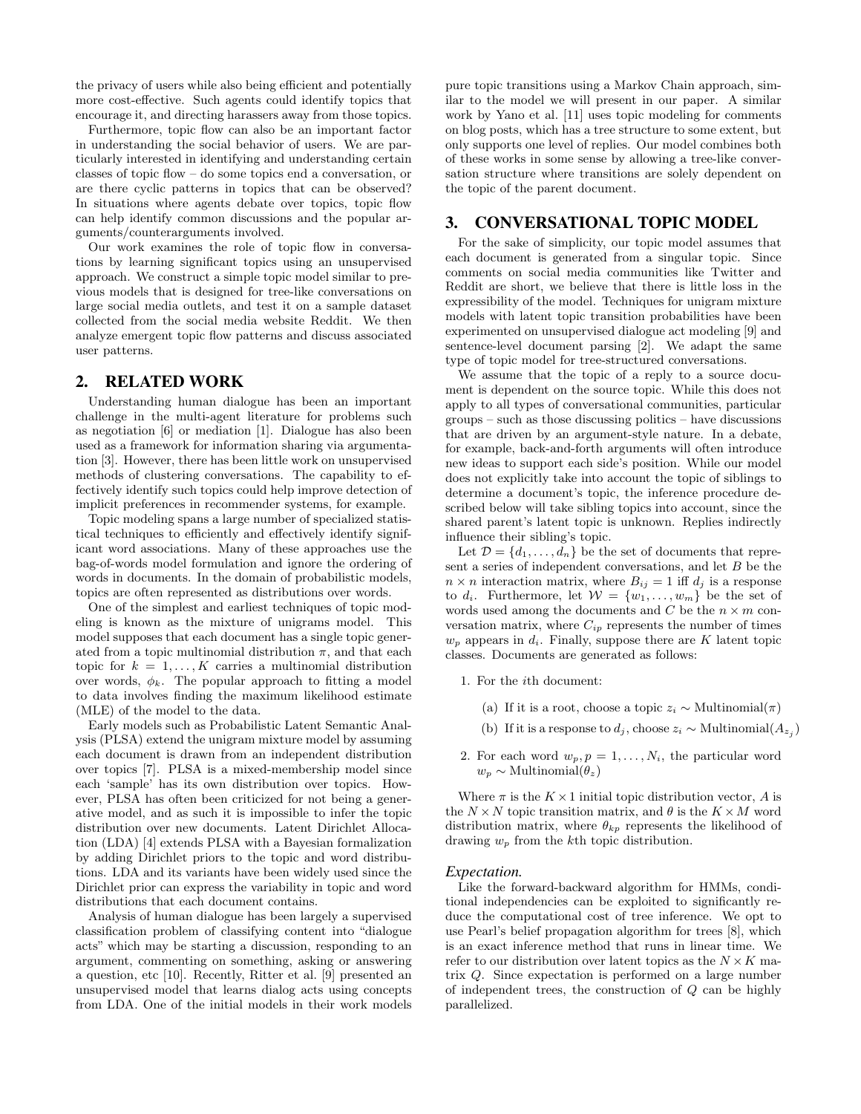the privacy of users while also being efficient and potentially more cost-effective. Such agents could identify topics that encourage it, and directing harassers away from those topics.

Furthermore, topic flow can also be an important factor in understanding the social behavior of users. We are particularly interested in identifying and understanding certain classes of topic flow – do some topics end a conversation, or are there cyclic patterns in topics that can be observed? In situations where agents debate over topics, topic flow can help identify common discussions and the popular arguments/counterarguments involved.

Our work examines the role of topic flow in conversations by learning significant topics using an unsupervised approach. We construct a simple topic model similar to previous models that is designed for tree-like conversations on large social media outlets, and test it on a sample dataset collected from the social media website Reddit. We then analyze emergent topic flow patterns and discuss associated user patterns.

#### 2. RELATED WORK

Understanding human dialogue has been an important challenge in the multi-agent literature for problems such as negotiation [6] or mediation [1]. Dialogue has also been used as a framework for information sharing via argumentation [3]. However, there has been little work on unsupervised methods of clustering conversations. The capability to effectively identify such topics could help improve detection of implicit preferences in recommender systems, for example.

Topic modeling spans a large number of specialized statistical techniques to efficiently and effectively identify significant word associations. Many of these approaches use the bag-of-words model formulation and ignore the ordering of words in documents. In the domain of probabilistic models, topics are often represented as distributions over words.

One of the simplest and earliest techniques of topic modeling is known as the mixture of unigrams model. This model supposes that each document has a single topic generated from a topic multinomial distribution  $\pi$ , and that each topic for  $k = 1, ..., K$  carries a multinomial distribution over words,  $\phi_k$ . The popular approach to fitting a model to data involves finding the maximum likelihood estimate (MLE) of the model to the data.

Early models such as Probabilistic Latent Semantic Analysis (PLSA) extend the unigram mixture model by assuming each document is drawn from an independent distribution over topics [7]. PLSA is a mixed-membership model since each 'sample' has its own distribution over topics. However, PLSA has often been criticized for not being a generative model, and as such it is impossible to infer the topic distribution over new documents. Latent Dirichlet Allocation (LDA) [4] extends PLSA with a Bayesian formalization by adding Dirichlet priors to the topic and word distributions. LDA and its variants have been widely used since the Dirichlet prior can express the variability in topic and word distributions that each document contains.

Analysis of human dialogue has been largely a supervised classification problem of classifying content into "dialogue acts" which may be starting a discussion, responding to an argument, commenting on something, asking or answering a question, etc [10]. Recently, Ritter et al. [9] presented an unsupervised model that learns dialog acts using concepts from LDA. One of the initial models in their work models pure topic transitions using a Markov Chain approach, similar to the model we will present in our paper. A similar work by Yano et al. [11] uses topic modeling for comments on blog posts, which has a tree structure to some extent, but only supports one level of replies. Our model combines both of these works in some sense by allowing a tree-like conversation structure where transitions are solely dependent on the topic of the parent document.

## 3. CONVERSATIONAL TOPIC MODEL

For the sake of simplicity, our topic model assumes that each document is generated from a singular topic. Since comments on social media communities like Twitter and Reddit are short, we believe that there is little loss in the expressibility of the model. Techniques for unigram mixture models with latent topic transition probabilities have been experimented on unsupervised dialogue act modeling [9] and sentence-level document parsing [2]. We adapt the same type of topic model for tree-structured conversations.

We assume that the topic of a reply to a source document is dependent on the source topic. While this does not apply to all types of conversational communities, particular groups – such as those discussing politics – have discussions that are driven by an argument-style nature. In a debate, for example, back-and-forth arguments will often introduce new ideas to support each side's position. While our model does not explicitly take into account the topic of siblings to determine a document's topic, the inference procedure described below will take sibling topics into account, since the shared parent's latent topic is unknown. Replies indirectly influence their sibling's topic.

Let  $\mathcal{D} = \{d_1, \ldots, d_n\}$  be the set of documents that represent a series of independent conversations, and let B be the  $n \times n$  interaction matrix, where  $B_{ij} = 1$  iff  $d_j$  is a response to  $d_i$ . Furthermore, let  $\mathcal{W} = \{w_1, \ldots, w_m\}$  be the set of words used among the documents and  $C$  be the  $n \times m$  conversation matrix, where  $C_{ip}$  represents the number of times  $w_p$  appears in  $d_i$ . Finally, suppose there are K latent topic classes. Documents are generated as follows:

- 1. For the ith document:
	- (a) If it is a root, choose a topic  $z_i \sim \text{Multinomial}(\pi)$
	- (b) If it is a response to  $d_j$ , choose  $z_i \sim \text{Multinomial}(A_{z_j})$
- 2. For each word  $w_p, p = 1, \ldots, N_i$ , the particular word  $w_p \sim \text{Multinomial}(\theta_z)$

Where  $\pi$  is the  $K \times 1$  initial topic distribution vector, A is the  $N \times N$  topic transition matrix, and  $\theta$  is the  $K \times M$  word distribution matrix, where  $\theta_{kp}$  represents the likelihood of drawing  $w_p$  from the kth topic distribution.

#### *Expectation.*

Like the forward-backward algorithm for HMMs, conditional independencies can be exploited to significantly reduce the computational cost of tree inference. We opt to use Pearl's belief propagation algorithm for trees [8], which is an exact inference method that runs in linear time. We refer to our distribution over latent topics as the  $N \times K$  matrix Q. Since expectation is performed on a large number of independent trees, the construction of Q can be highly parallelized.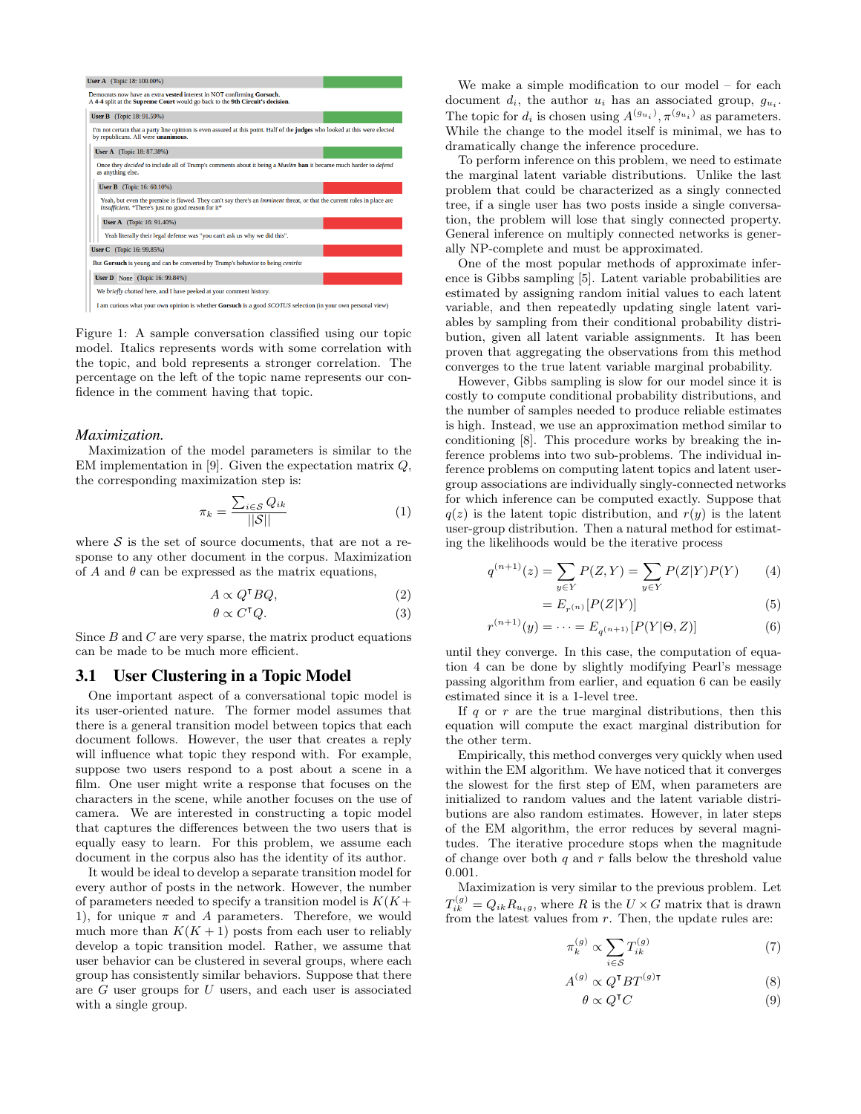

Figure 1: A sample conversation classified using our topic model. Italics represents words with some correlation with the topic, and bold represents a stronger correlation. The percentage on the left of the topic name represents our confidence in the comment having that topic.

#### *Maximization.*

Maximization of the model parameters is similar to the EM implementation in [9]. Given the expectation matrix  $Q$ , the corresponding maximization step is:

$$
\pi_k = \frac{\sum_{i \in S} Q_{ik}}{||S||} \tag{1}
$$

where  $S$  is the set of source documents, that are not a response to any other document in the corpus. Maximization of A and  $\theta$  can be expressed as the matrix equations,

$$
A \propto Q^{\mathsf{T}} B Q, \tag{2}
$$

$$
\theta \propto C^{\mathsf{T}} Q. \tag{3}
$$

Since  $B$  and  $C$  are very sparse, the matrix product equations can be made to be much more efficient.

#### 3.1 User Clustering in a Topic Model

One important aspect of a conversational topic model is its user-oriented nature. The former model assumes that there is a general transition model between topics that each document follows. However, the user that creates a reply will influence what topic they respond with. For example, suppose two users respond to a post about a scene in a film. One user might write a response that focuses on the characters in the scene, while another focuses on the use of camera. We are interested in constructing a topic model that captures the differences between the two users that is equally easy to learn. For this problem, we assume each document in the corpus also has the identity of its author.

It would be ideal to develop a separate transition model for every author of posts in the network. However, the number of parameters needed to specify a transition model is  $K(K +$ 1), for unique  $\pi$  and A parameters. Therefore, we would much more than  $K(K + 1)$  posts from each user to reliably develop a topic transition model. Rather, we assume that user behavior can be clustered in several groups, where each group has consistently similar behaviors. Suppose that there are  $G$  user groups for  $U$  users, and each user is associated with a single group.

We make a simple modification to our model – for each document  $d_i$ , the author  $u_i$  has an associated group,  $g_{u_i}$ . The topic for  $d_i$  is chosen using  $A^{(g_{u_i})}, \pi^{(g_{u_i})}$  as parameters. While the change to the model itself is minimal, we has to dramatically change the inference procedure.

To perform inference on this problem, we need to estimate the marginal latent variable distributions. Unlike the last problem that could be characterized as a singly connected tree, if a single user has two posts inside a single conversation, the problem will lose that singly connected property. General inference on multiply connected networks is generally NP-complete and must be approximated.

One of the most popular methods of approximate inference is Gibbs sampling [5]. Latent variable probabilities are estimated by assigning random initial values to each latent variable, and then repeatedly updating single latent variables by sampling from their conditional probability distribution, given all latent variable assignments. It has been proven that aggregating the observations from this method converges to the true latent variable marginal probability.

However, Gibbs sampling is slow for our model since it is costly to compute conditional probability distributions, and the number of samples needed to produce reliable estimates is high. Instead, we use an approximation method similar to conditioning [8]. This procedure works by breaking the inference problems into two sub-problems. The individual inference problems on computing latent topics and latent usergroup associations are individually singly-connected networks for which inference can be computed exactly. Suppose that  $q(z)$  is the latent topic distribution, and  $r(y)$  is the latent user-group distribution. Then a natural method for estimating the likelihoods would be the iterative process

$$
q^{(n+1)}(z) = \sum_{y \in Y} P(Z, Y) = \sum_{y \in Y} P(Z|Y)P(Y) \tag{4}
$$

$$
=E_{r^{(n)}}[P(Z|Y)]\tag{5}
$$

$$
x^{(n+1)}(y) = \dots = E_{q^{(n+1)}}[P(Y|\Theta, Z)] \tag{6}
$$

until they converge. In this case, the computation of equation 4 can be done by slightly modifying Pearl's message passing algorithm from earlier, and equation 6 can be easily estimated since it is a 1-level tree.

r

If  $q$  or  $r$  are the true marginal distributions, then this equation will compute the exact marginal distribution for the other term.

Empirically, this method converges very quickly when used within the EM algorithm. We have noticed that it converges the slowest for the first step of EM, when parameters are initialized to random values and the latent variable distributions are also random estimates. However, in later steps of the EM algorithm, the error reduces by several magnitudes. The iterative procedure stops when the magnitude of change over both  $q$  and  $r$  falls below the threshold value 0.001.

Maximization is very similar to the previous problem. Let  $T_{ik}^{(g)} = Q_{ik}R_{u_i g}$ , where R is the  $U \times G$  matrix that is drawn from the latest values from  $r$ . Then, the update rules are:

$$
\pi_k^{(g)} \propto \sum_{i \in \mathcal{S}} T_{ik}^{(g)} \tag{7}
$$

$$
A^{(g)} \propto Q^{\mathsf{T}} B T^{(g)\mathsf{T}} \tag{8}
$$

$$
\theta \propto Q^{\mathsf{T}} C \tag{9}
$$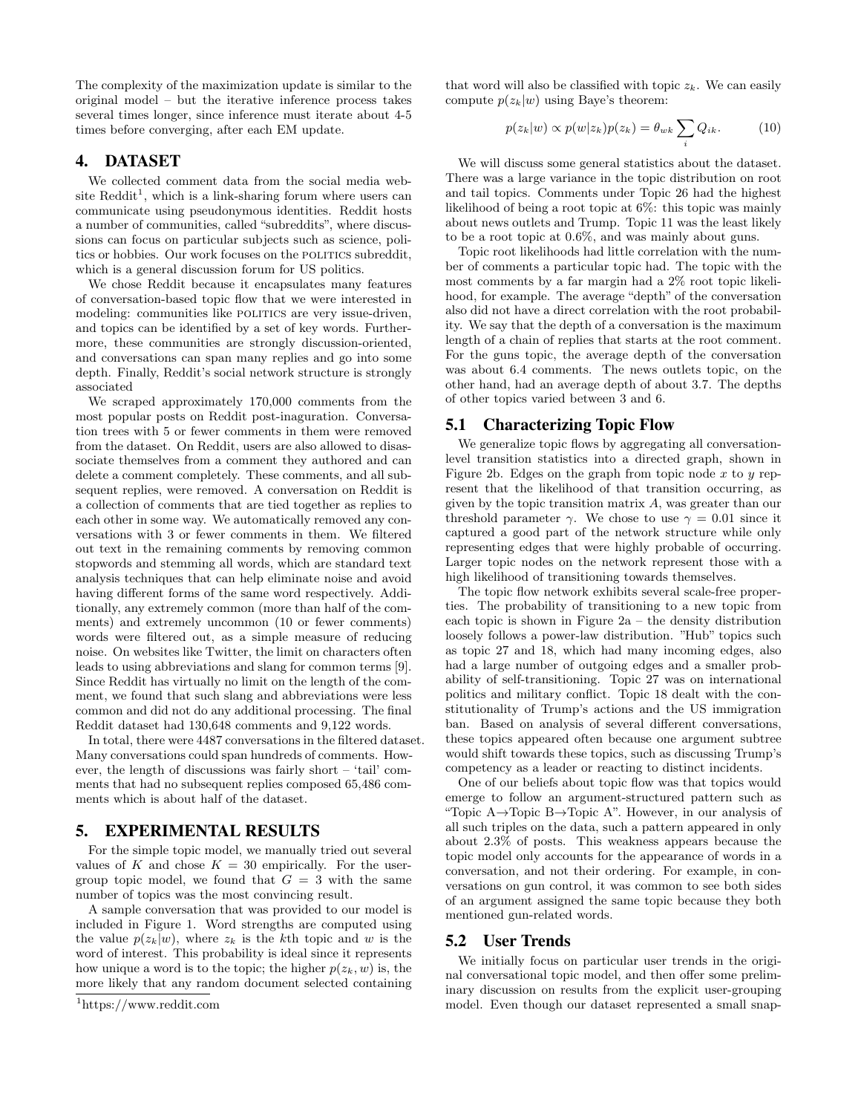The complexity of the maximization update is similar to the original model – but the iterative inference process takes several times longer, since inference must iterate about 4-5 times before converging, after each EM update.

# 4. DATASET

We collected comment data from the social media website  $\text{Reddit}^1$ , which is a link-sharing forum where users can communicate using pseudonymous identities. Reddit hosts a number of communities, called "subreddits", where discussions can focus on particular subjects such as science, politics or hobbies. Our work focuses on the POLITICS subreddit, which is a general discussion forum for US politics.

We chose Reddit because it encapsulates many features of conversation-based topic flow that we were interested in modeling: communities like POLITICS are very issue-driven, and topics can be identified by a set of key words. Furthermore, these communities are strongly discussion-oriented, and conversations can span many replies and go into some depth. Finally, Reddit's social network structure is strongly associated

We scraped approximately 170,000 comments from the most popular posts on Reddit post-inaguration. Conversation trees with 5 or fewer comments in them were removed from the dataset. On Reddit, users are also allowed to disassociate themselves from a comment they authored and can delete a comment completely. These comments, and all subsequent replies, were removed. A conversation on Reddit is a collection of comments that are tied together as replies to each other in some way. We automatically removed any conversations with 3 or fewer comments in them. We filtered out text in the remaining comments by removing common stopwords and stemming all words, which are standard text analysis techniques that can help eliminate noise and avoid having different forms of the same word respectively. Additionally, any extremely common (more than half of the comments) and extremely uncommon (10 or fewer comments) words were filtered out, as a simple measure of reducing noise. On websites like Twitter, the limit on characters often leads to using abbreviations and slang for common terms [9]. Since Reddit has virtually no limit on the length of the comment, we found that such slang and abbreviations were less common and did not do any additional processing. The final Reddit dataset had 130,648 comments and 9,122 words.

In total, there were 4487 conversations in the filtered dataset. Many conversations could span hundreds of comments. However, the length of discussions was fairly short – 'tail' comments that had no subsequent replies composed 65,486 comments which is about half of the dataset.

### 5. EXPERIMENTAL RESULTS

For the simple topic model, we manually tried out several values of K and chose  $K = 30$  empirically. For the usergroup topic model, we found that  $G = 3$  with the same number of topics was the most convincing result.

A sample conversation that was provided to our model is included in Figure 1. Word strengths are computed using the value  $p(z_k|w)$ , where  $z_k$  is the kth topic and w is the word of interest. This probability is ideal since it represents how unique a word is to the topic; the higher  $p(z_k, w)$  is, the more likely that any random document selected containing that word will also be classified with topic  $z_k$ . We can easily compute  $p(z_k|w)$  using Baye's theorem:

$$
p(z_k|w) \propto p(w|z_k)p(z_k) = \theta_{wk} \sum_i Q_{ik}.
$$
 (10)

We will discuss some general statistics about the dataset. There was a large variance in the topic distribution on root and tail topics. Comments under Topic 26 had the highest likelihood of being a root topic at 6%: this topic was mainly about news outlets and Trump. Topic 11 was the least likely to be a root topic at 0.6%, and was mainly about guns.

Topic root likelihoods had little correlation with the number of comments a particular topic had. The topic with the most comments by a far margin had a 2% root topic likelihood, for example. The average "depth" of the conversation also did not have a direct correlation with the root probability. We say that the depth of a conversation is the maximum length of a chain of replies that starts at the root comment. For the guns topic, the average depth of the conversation was about 6.4 comments. The news outlets topic, on the other hand, had an average depth of about 3.7. The depths of other topics varied between 3 and 6.

#### 5.1 Characterizing Topic Flow

We generalize topic flows by aggregating all conversationlevel transition statistics into a directed graph, shown in Figure 2b. Edges on the graph from topic node x to y represent that the likelihood of that transition occurring, as given by the topic transition matrix A, was greater than our threshold parameter  $\gamma$ . We chose to use  $\gamma = 0.01$  since it captured a good part of the network structure while only representing edges that were highly probable of occurring. Larger topic nodes on the network represent those with a high likelihood of transitioning towards themselves.

The topic flow network exhibits several scale-free properties. The probability of transitioning to a new topic from each topic is shown in Figure 2a – the density distribution loosely follows a power-law distribution. "Hub" topics such as topic 27 and 18, which had many incoming edges, also had a large number of outgoing edges and a smaller probability of self-transitioning. Topic 27 was on international politics and military conflict. Topic 18 dealt with the constitutionality of Trump's actions and the US immigration ban. Based on analysis of several different conversations, these topics appeared often because one argument subtree would shift towards these topics, such as discussing Trump's competency as a leader or reacting to distinct incidents.

One of our beliefs about topic flow was that topics would emerge to follow an argument-structured pattern such as "Topic A→Topic B→Topic A". However, in our analysis of all such triples on the data, such a pattern appeared in only about 2.3% of posts. This weakness appears because the topic model only accounts for the appearance of words in a conversation, and not their ordering. For example, in conversations on gun control, it was common to see both sides of an argument assigned the same topic because they both mentioned gun-related words.

#### 5.2 User Trends

We initially focus on particular user trends in the original conversational topic model, and then offer some preliminary discussion on results from the explicit user-grouping model. Even though our dataset represented a small snap-

<sup>1</sup>https://www.reddit.com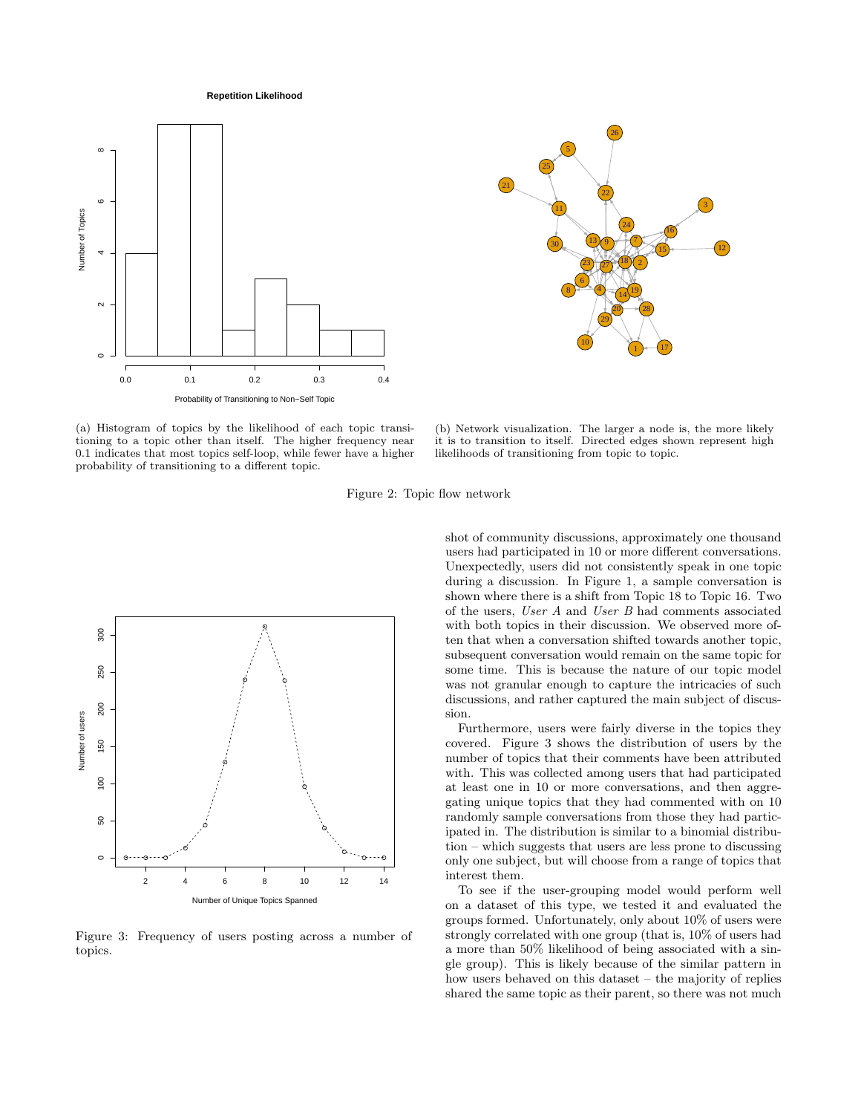**Repetition Likelihood**





(a) Histogram of topics by the likelihood of each topic transitioning to a topic other than itself. The higher frequency near 0.1 indicates that most topics self-loop, while fewer have a higher probability of transitioning to a different topic.

(b) Network visualization. The larger a node is, the more likely it is to transition to itself. Directed edges shown represent high likelihoods of transitioning from topic to topic.

Figure 2: Topic flow network



Figure 3: Frequency of users posting across a number of topics.

shot of community discussions, approximately one thousand users had participated in 10 or more different conversations. Unexpectedly, users did not consistently speak in one topic during a discussion. In Figure 1, a sample conversation is shown where there is a shift from Topic 18 to Topic 16. Two of the users, User A and User B had comments associated with both topics in their discussion. We observed more often that when a conversation shifted towards another topic, subsequent conversation would remain on the same topic for some time. This is because the nature of our topic model was not granular enough to capture the intricacies of such discussions, and rather captured the main subject of discussion.

Furthermore, users were fairly diverse in the topics they covered. Figure 3 shows the distribution of users by the number of topics that their comments have been attributed with. This was collected among users that had participated at least one in 10 or more conversations, and then aggregating unique topics that they had commented with on 10 randomly sample conversations from those they had participated in. The distribution is similar to a binomial distribution – which suggests that users are less prone to discussing only one subject, but will choose from a range of topics that interest them.

To see if the user-grouping model would perform well on a dataset of this type, we tested it and evaluated the groups formed. Unfortunately, only about 10% of users were strongly correlated with one group (that is, 10% of users had a more than 50% likelihood of being associated with a single group). This is likely because of the similar pattern in how users behaved on this dataset – the majority of replies shared the same topic as their parent, so there was not much